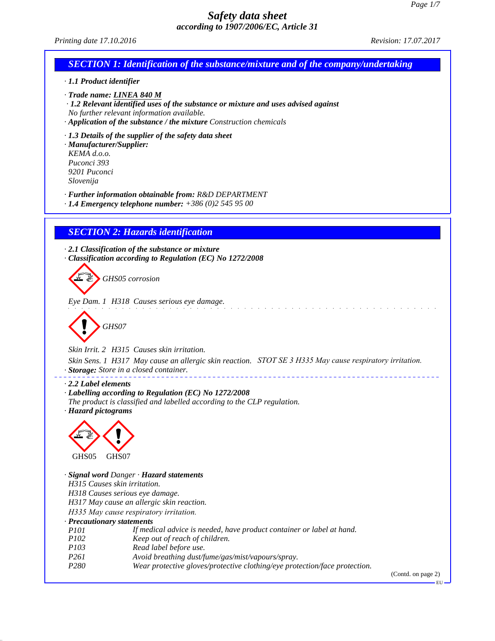

(Contd. on page 2)

EU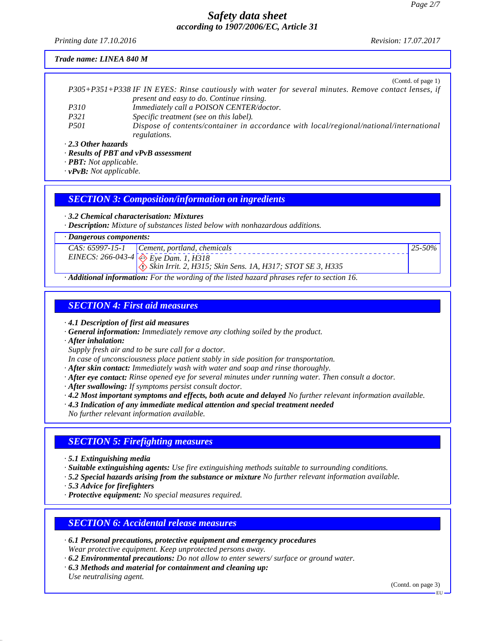*Printing date 17.10.2016 Revision: 17.07.2017*

#### *Trade name: LINEA 840 M*

|                           | (Contd. of page 1)                                                                                    |
|---------------------------|-------------------------------------------------------------------------------------------------------|
|                           | P305+P351+P338 IF IN EYES: Rinse cautiously with water for several minutes. Remove contact lenses, if |
|                           | present and easy to do. Continue rinsing.                                                             |
| <i>P310</i>               | Immediately call a POISON CENTER/doctor.                                                              |
| P321                      | Specific treatment (see on this label).                                                               |
| <i>P501</i>               | Dispose of contents/container in accordance with local/regional/national/international                |
|                           | regulations.                                                                                          |
| $\cdot$ 2.3 Other hazards |                                                                                                       |

*· Results of PBT and vPvB assessment*

*· PBT: Not applicable.*

*· vPvB: Not applicable.*

### *SECTION 3: Composition/information on ingredients*

*· 3.2 Chemical characterisation: Mixtures*

*· Description: Mixture of substances listed below with nonhazardous additions.*

*· Dangerous components:*

|          | $125 - 50\%$<br>$CAS: 65997-15-1$ Cement, portland, chemicals                     |  |  |
|----------|-----------------------------------------------------------------------------------|--|--|
|          | EINECS: 266-043-4 $\otimes$ Eye Dam. 1, H318                                      |  |  |
|          | $\langle \cdot \rangle$ Skin Irrit. 2, H315; Skin Sens. 1A, H317; STOT SE 3, H335 |  |  |
| $\cdots$ |                                                                                   |  |  |

*· Additional information: For the wording of the listed hazard phrases refer to section 16.*

## *SECTION 4: First aid measures*

*· 4.1 Description of first aid measures*

- *· General information: Immediately remove any clothing soiled by the product.*
- *· After inhalation:*

*Supply fresh air and to be sure call for a doctor.*

*In case of unconsciousness place patient stably in side position for transportation.*

*· After skin contact: Immediately wash with water and soap and rinse thoroughly.*

- *· After eye contact: Rinse opened eye for several minutes under running water. Then consult a doctor.*
- *· After swallowing: If symptoms persist consult doctor.*
- *· 4.2 Most important symptoms and effects, both acute and delayed No further relevant information available.*
- *· 4.3 Indication of any immediate medical attention and special treatment needed*

*No further relevant information available.*

## *SECTION 5: Firefighting measures*

*· 5.1 Extinguishing media*

*· Suitable extinguishing agents: Use fire extinguishing methods suitable to surrounding conditions.*

- *· 5.2 Special hazards arising from the substance or mixture No further relevant information available.*
- *· 5.3 Advice for firefighters*
- *· Protective equipment: No special measures required.*

## *SECTION 6: Accidental release measures*

- *· 6.1 Personal precautions, protective equipment and emergency procedures Wear protective equipment. Keep unprotected persons away.*
- *· 6.2 Environmental precautions: Do not allow to enter sewers/ surface or ground water.*
- *· 6.3 Methods and material for containment and cleaning up: Use neutralising agent.*

(Contd. on page 3)

EU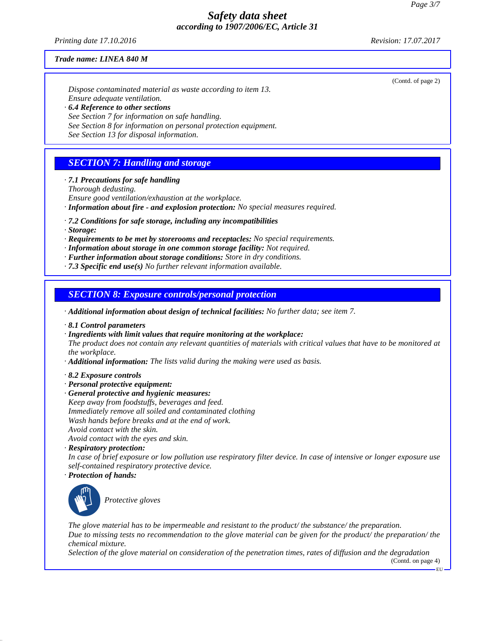*Printing date 17.10.2016 Revision: 17.07.2017*

(Contd. of page 2)

#### *Trade name: LINEA 840 M*

*Dispose contaminated material as waste according to item 13. Ensure adequate ventilation. · 6.4 Reference to other sections See Section 7 for information on safe handling.*

*See Section 8 for information on personal protection equipment.*

*See Section 13 for disposal information.*

## *SECTION 7: Handling and storage*

*· 7.1 Precautions for safe handling*

*Thorough dedusting.*

*Ensure good ventilation/exhaustion at the workplace.*

- *· Information about fire and explosion protection: No special measures required.*
- *· 7.2 Conditions for safe storage, including any incompatibilities*
- *· Storage:*
- *· Requirements to be met by storerooms and receptacles: No special requirements.*
- *· Information about storage in one common storage facility: Not required.*
- *· Further information about storage conditions: Store in dry conditions.*
- *· 7.3 Specific end use(s) No further relevant information available.*

## *SECTION 8: Exposure controls/personal protection*

*· Additional information about design of technical facilities: No further data; see item 7.*

- *· 8.1 Control parameters*
- *· Ingredients with limit values that require monitoring at the workplace:*

*The product does not contain any relevant quantities of materials with critical values that have to be monitored at the workplace.*

- *· Additional information: The lists valid during the making were used as basis.*
- *· 8.2 Exposure controls*
- *· Personal protective equipment:*
- *· General protective and hygienic measures:*
- *Keep away from foodstuffs, beverages and feed. Immediately remove all soiled and contaminated clothing Wash hands before breaks and at the end of work. Avoid contact with the skin. Avoid contact with the eyes and skin.*
- *· Respiratory protection:*

*In case of brief exposure or low pollution use respiratory filter device. In case of intensive or longer exposure use self-contained respiratory protective device.*

*· Protection of hands:*



\_S*Protective gloves*

*The glove material has to be impermeable and resistant to the product/ the substance/ the preparation. Due to missing tests no recommendation to the glove material can be given for the product/ the preparation/ the chemical mixture.*

*Selection of the glove material on consideration of the penetration times, rates of diffusion and the degradation*

(Contd. on page 4) EU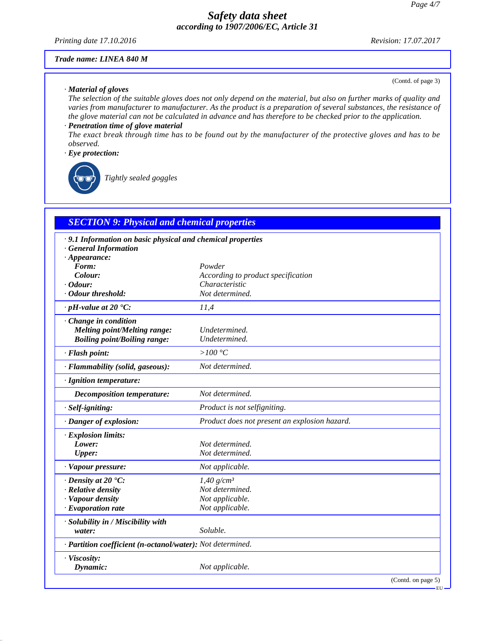*Printing date 17.10.2016 Revision: 17.07.2017*

(Contd. of page 3)

#### *Trade name: LINEA 840 M*

#### *· Material of gloves*

*The selection of the suitable gloves does not only depend on the material, but also on further marks of quality and varies from manufacturer to manufacturer. As the product is a preparation of several substances, the resistance of the glove material can not be calculated in advance and has therefore to be checked prior to the application.*

### *· Penetration time of glove material*

*The exact break through time has to be found out by the manufacturer of the protective gloves and has to be observed.*

### *· Eye protection:*



\_R*Tightly sealed goggles*

## *SECTION 9: Physical and chemical properties*

| · 9.1 Information on basic physical and chemical properties<br><b>General Information</b> |                                               |
|-------------------------------------------------------------------------------------------|-----------------------------------------------|
| $\cdot$ Appearance:                                                                       |                                               |
| Form:                                                                                     | Powder                                        |
| Colour:                                                                                   | According to product specification            |
| $\cdot$ Odour:                                                                            | Characteristic                                |
| · Odour threshold:                                                                        | Not determined.                               |
| $\cdot$ pH-value at 20 $\textdegree$ C:                                                   | 11,4                                          |
| · Change in condition                                                                     |                                               |
| <b>Melting point/Melting range:</b>                                                       | Undetermined.                                 |
| <b>Boiling point/Boiling range:</b>                                                       | Undetermined.                                 |
| · Flash point:                                                                            | $>100\,^{\circ}\mathrm{C}$                    |
| · Flammability (solid, gaseous):                                                          | Not determined.                               |
| · Ignition temperature:                                                                   |                                               |
| <b>Decomposition temperature:</b>                                                         | Not determined.                               |
| · Self-igniting:                                                                          | Product is not selfigniting.                  |
| · Danger of explosion:                                                                    | Product does not present an explosion hazard. |
| · Explosion limits:                                                                       |                                               |
| Lower:                                                                                    | Not determined.                               |
| <b>Upper:</b>                                                                             | Not determined.                               |
| · Vapour pressure:                                                                        | Not applicable.                               |
| $\cdot$ Density at 20 $\degree$ C:                                                        | $1,40$ g/cm <sup>3</sup>                      |
| · Relative density                                                                        | Not determined.                               |
| · Vapour density                                                                          | Not applicable.                               |
| $\cdot$ Evaporation rate                                                                  | Not applicable.                               |
| · Solubility in / Miscibility with                                                        |                                               |
| water:                                                                                    | Soluble.                                      |
| · Partition coefficient (n-octanol/water): Not determined.                                |                                               |
| · Viscosity:                                                                              |                                               |
| Dynamic:                                                                                  | Not applicable.                               |
|                                                                                           | (Contd. on page 5)                            |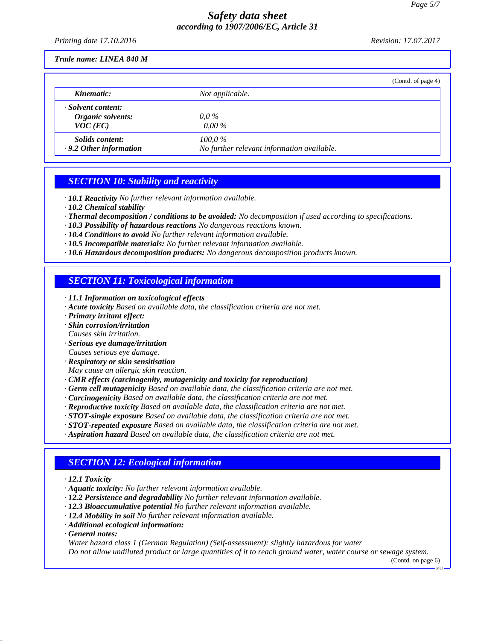*Printing date 17.10.2016 Revision: 17.07.2017*

*Trade name: LINEA 840 M*

|                                                         | (Contd. of page 4)                                      |  |
|---------------------------------------------------------|---------------------------------------------------------|--|
| Kinematic:                                              | Not applicable.                                         |  |
| · Solvent content:<br>Organic solvents:<br>$VOC$ (EC)   | $0.0\,\%$<br>$0.00\%$                                   |  |
| <i>Solids content:</i><br>$\cdot$ 9.2 Other information | $100.0\%$<br>No further relevant information available. |  |

## *SECTION 10: Stability and reactivity*

- *· 10.1 Reactivity No further relevant information available.*
- *· 10.2 Chemical stability*
- *· Thermal decomposition / conditions to be avoided: No decomposition if used according to specifications.*
- *· 10.3 Possibility of hazardous reactions No dangerous reactions known.*
- *· 10.4 Conditions to avoid No further relevant information available.*
- *· 10.5 Incompatible materials: No further relevant information available.*
- *· 10.6 Hazardous decomposition products: No dangerous decomposition products known.*

# *SECTION 11: Toxicological information*

- *· 11.1 Information on toxicological effects*
- *· Acute toxicity Based on available data, the classification criteria are not met.*
- *· Primary irritant effect:*
- *· Skin corrosion/irritation*
- *Causes skin irritation.*
- *· Serious eye damage/irritation Causes serious eye damage.*
- *· Respiratory or skin sensitisation*
- *May cause an allergic skin reaction.*
- *· CMR effects (carcinogenity, mutagenicity and toxicity for reproduction)*
- *· Germ cell mutagenicity Based on available data, the classification criteria are not met.*
- *· Carcinogenicity Based on available data, the classification criteria are not met.*
- *· Reproductive toxicity Based on available data, the classification criteria are not met.*
- *· STOT-single exposure Based on available data, the classification criteria are not met.*
- *· STOT-repeated exposure Based on available data, the classification criteria are not met.*
- *· Aspiration hazard Based on available data, the classification criteria are not met.*

# *SECTION 12: Ecological information*

- *· 12.1 Toxicity*
- *· Aquatic toxicity: No further relevant information available.*
- *· 12.2 Persistence and degradability No further relevant information available.*
- *· 12.3 Bioaccumulative potential No further relevant information available.*
- *· 12.4 Mobility in soil No further relevant information available.*
- *· Additional ecological information:*
- *· General notes:*

*Water hazard class 1 (German Regulation) (Self-assessment): slightly hazardous for water Do not allow undiluted product or large quantities of it to reach ground water, water course or sewage system.*

(Contd. on page 6)

EU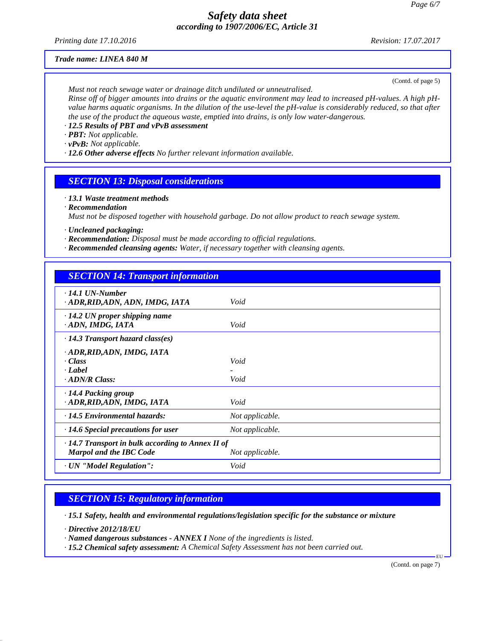*Printing date 17.10.2016 Revision: 17.07.2017*

#### *Trade name: LINEA 840 M*

(Contd. of page 5)

*Must not reach sewage water or drainage ditch undiluted or unneutralised. Rinse off of bigger amounts into drains or the aquatic environment may lead to increased pH-values. A high pHvalue harms aquatic organisms. In the dilution of the use-level the pH-value is considerably reduced, so that after the use of the product the aqueous waste, emptied into drains, is only low water-dangerous.*

*· 12.5 Results of PBT and vPvB assessment*

*· PBT: Not applicable.*

*· vPvB: Not applicable.*

*· 12.6 Other adverse effects No further relevant information available.*

## *SECTION 13: Disposal considerations*

*· 13.1 Waste treatment methods*

*· Recommendation*

*Must not be disposed together with household garbage. Do not allow product to reach sewage system.*

*· Uncleaned packaging:*

- *· Recommendation: Disposal must be made according to official regulations.*
- *· Recommended cleansing agents: Water, if necessary together with cleansing agents.*

| <b>SECTION 14: Transport information</b>                                                  |                 |
|-------------------------------------------------------------------------------------------|-----------------|
| $\cdot$ 14.1 UN-Number<br>· ADR, RID, ADN, ADN, IMDG, IATA                                | Void            |
| $\cdot$ 14.2 UN proper shipping name<br>ADN, IMDG, IATA                                   | Void            |
| $\cdot$ 14.3 Transport hazard class(es)                                                   |                 |
| · ADR, RID, ADN, IMDG, IATA<br>· Class<br>· Label<br>$\cdot$ ADN/R Class:                 | Void<br>Void    |
| $\cdot$ 14.4 Packing group<br>· ADR, RID, ADN, IMDG, IATA                                 | Void            |
| · 14.5 Environmental hazards:                                                             | Not applicable. |
| $\cdot$ 14.6 Special precautions for user                                                 | Not applicable. |
| $\cdot$ 14.7 Transport in bulk according to Annex II of<br><b>Marpol and the IBC Code</b> | Not applicable. |
| · UN "Model Regulation":                                                                  | Void            |

# *SECTION 15: Regulatory information*

*· 15.1 Safety, health and environmental regulations/legislation specific for the substance or mixture*

*· Directive 2012/18/EU*

*· Named dangerous substances - ANNEX I None of the ingredients is listed.*

*· 15.2 Chemical safety assessment: A Chemical Safety Assessment has not been carried out.*

(Contd. on page 7)

EU